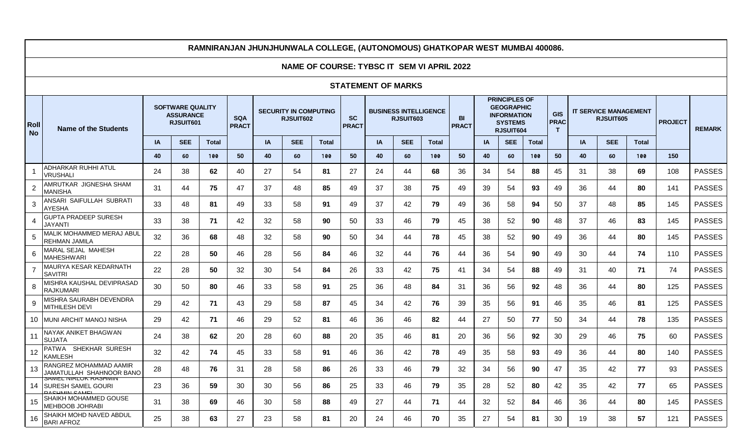# **RAMNIRANJAN JHUNJHUNWALA COLLEGE, (AUTONOMOUS) GHATKOPAR WEST MUMBAI 400086.**

## **NAME OF COURSE: TYBSC IT SEM VI APRIL 2022**

#### **STATEMENT OF MARKS**

| Roll<br><b>No</b>        | <b>Name of the Students</b>                                                | <b>SOFTWARE QUALITY</b><br><b>ASSURANCE</b><br>RJSUIT601 |            |              | <b>SQA</b><br><b>PRACT</b> | <b>SECURITY IN COMPUTING</b><br>RJSUIT602 |            |              | <b>SC</b><br><b>PRACT</b> |    | <b>BUSINESS INTELLIGENCE</b><br>RJSUIT603 | <b>BI</b><br><b>PRACT</b> | <b>PRINCIPLES OF</b><br><b>GEOGRAPHIC</b><br><b>INFORMATION</b><br><b>SYSTEMS</b><br>RJSUIT604 |           |            | <b>GIS</b><br><b>PRAC</b><br>T |    | <b>IT SERVICE MANAGEMENT</b><br>RJSUIT605 | <b>PROJECT</b> | <b>REMARK</b> |     |               |
|--------------------------|----------------------------------------------------------------------------|----------------------------------------------------------|------------|--------------|----------------------------|-------------------------------------------|------------|--------------|---------------------------|----|-------------------------------------------|---------------------------|------------------------------------------------------------------------------------------------|-----------|------------|--------------------------------|----|-------------------------------------------|----------------|---------------|-----|---------------|
|                          |                                                                            | <b>IA</b>                                                | <b>SEE</b> | <b>Total</b> |                            | <b>IA</b>                                 | <b>SEE</b> | <b>Total</b> |                           | IA | <b>SEE</b>                                | <b>Total</b>              |                                                                                                | <b>IA</b> | <b>SEE</b> | <b>Total</b>                   |    | IA                                        | <b>SEE</b>     | <b>Total</b>  |     |               |
|                          |                                                                            | 40                                                       | 60         | 100          | 50                         | 40                                        | 60         | 100          | 50                        | 40 | 60                                        | 100                       | 50                                                                                             | 40        | 60         | 100                            | 50 | 40                                        | 60             | 100           | 150 |               |
| $\overline{1}$           | ADHARKAR RUHHI ATUL<br><b>VRUSHALI</b>                                     | 24                                                       | 38         | 62           | 40                         | 27                                        | 54         | 81           | 27                        | 24 | 44                                        | 68                        | 36                                                                                             | 34        | 54         | 88                             | 45 | 31                                        | 38             | 69            | 108 | <b>PASSES</b> |
| $\overline{2}$           | AMRUTKAR JIGNESHA SHAM<br><b>MANISHA</b>                                   | 31                                                       | 44         | 75           | 47                         | 37                                        | 48         | 85           | 49                        | 37 | 38                                        | 75                        | 49                                                                                             | 39        | 54         | 93                             | 49 | 36                                        | 44             | 80            | 141 | <b>PASSES</b> |
| 3                        | ANSARI SAIFULLAH SUBRATI<br><b>AYESHA</b>                                  | 33                                                       | 48         | 81           | 49                         | 33                                        | 58         | 91           | 49                        | 37 | 42                                        | 79                        | 49                                                                                             | 36        | 58         | 94                             | 50 | 37                                        | 48             | 85            | 145 | <b>PASSES</b> |
| $\boldsymbol{\varDelta}$ | <b>GUPTA PRADEEP SURESH</b><br><b>JAYANTI</b>                              | 33                                                       | 38         | 71           | 42                         | 32                                        | 58         | 90           | 50                        | 33 | 46                                        | 79                        | 45                                                                                             | 38        | 52         | 90                             | 48 | 37                                        | 46             | 83            | 145 | <b>PASSES</b> |
| .5                       | MALIK MOHAMMED MERAJ ABUL<br><b>REHMAN JAMILA</b>                          | 32                                                       | 36         | 68           | 48                         | 32                                        | 58         | 90           | 50                        | 34 | 44                                        | 78                        | 45                                                                                             | 38        | 52         | 90                             | 49 | 36                                        | 44             | 80            | 145 | <b>PASSES</b> |
| 6                        | MARAL SEJAL MAHESH<br><b>MAHESHWARI</b>                                    | 22                                                       | 28         | 50           | 46                         | 28                                        | 56         | 84           | 46                        | 32 | 44                                        | 76                        | 44                                                                                             | 36        | 54         | 90                             | 49 | 30                                        | 44             | 74            | 110 | <b>PASSES</b> |
| $\overline{7}$           | MAURYA KESAR KEDARNATH<br><b>SAVITRI</b>                                   | 22                                                       | 28         | 50           | 32                         | 30                                        | 54         | 84           | 26                        | 33 | 42                                        | 75                        | 41                                                                                             | 34        | 54         | 88                             | 49 | 31                                        | 40             | 71            | 74  | <b>PASSES</b> |
| 8                        | MISHRA KAUSHAL DEVIPRASAD<br>RAJKUMARI                                     | 30                                                       | 50         | 80           | 46                         | 33                                        | 58         | 91           | 25                        | 36 | 48                                        | 84                        | 31                                                                                             | 36        | 56         | 92                             | 48 | 36                                        | 44             | 80            | 125 | <b>PASSES</b> |
| 9                        | MISHRA SAURABH DEVENDRA<br><b>MITHILESH DEVI</b>                           | 29                                                       | 42         | 71           | 43                         | 29                                        | 58         | 87           | 45                        | 34 | 42                                        | 76                        | 39                                                                                             | 35        | 56         | 91                             | 46 | 35                                        | 46             | 81            | 125 | <b>PASSES</b> |
|                          | 10 MUNI ARCHIT MANOJ NISHA                                                 | 29                                                       | 42         | 71           | 46                         | 29                                        | 52         | 81           | 46                        | 36 | 46                                        | 82                        | 44                                                                                             | 27        | 50         | 77                             | 50 | 34                                        | 44             | 78            | 135 | <b>PASSES</b> |
| 11                       | NAYAK ANIKET BHAGWAN<br><b>SUJATA</b>                                      | 24                                                       | 38         | 62           | 20                         | 28                                        | 60         | 88           | 20                        | 35 | 46                                        | 81                        | 20                                                                                             | 36        | 56         | 92                             | 30 | 29                                        | 46             | 75            | 60  | <b>PASSES</b> |
| 12                       | PATWA SHEKHAR SURESH<br>KAMLESH                                            | 32                                                       | 42         | 74           | 45                         | 33                                        | 58         | 91           | 46                        | 36 | 42                                        | 78                        | 49                                                                                             | 35        | 58         | 93                             | 49 | 36                                        | 44             | 80            | 140 | <b>PASSES</b> |
| 13                       | RANGREZ MOHAMMAD AAMIR<br>JAMATULLAH SHAHNOOR BANO                         | 28                                                       | 48         | 76           | 31                         | 28                                        | 58         | 86           | 26                        | 33 | 46                                        | 79                        | 32                                                                                             | 34        | 56         | 90                             | 47 | 35                                        | 42             | 77            | 93  | <b>PASSES</b> |
| 14                       | SAMEL NIRLUK RASHMIN<br><b>SURESH SAMEL GOURI</b><br><b>DACUMINI CAMEL</b> | 23                                                       | 36         | 59           | 30                         | 30                                        | 56         | 86           | 25                        | 33 | 46                                        | 79                        | 35                                                                                             | 28        | 52         | 80                             | 42 | 35                                        | 42             | 77            | 65  | <b>PASSES</b> |
| 15                       | ISHAIKH MOHAMMED GOUSE<br>MEHBOOB JOHRABI                                  | 31                                                       | 38         | 69           | 46                         | 30                                        | 58         | 88           | 49                        | 27 | 44                                        | 71                        | 44                                                                                             | 32        | 52         | 84                             | 46 | 36                                        | 44             | 80            | 145 | <b>PASSES</b> |
| 16                       | İSHAIKH MOHD NAVED ABDUL<br><b>BARI AFROZ</b>                              | 25                                                       | 38         | 63           | 27                         | 23                                        | 58         | 81           | 20                        | 24 | 46                                        | 70                        | 35                                                                                             | 27        | 54         | 81                             | 30 | 19                                        | 38             | 57            | 121 | <b>PASSES</b> |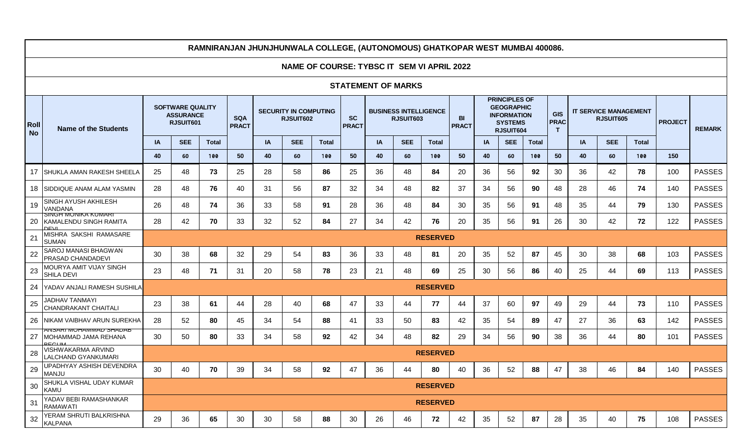# **RAMNIRANJAN JHUNJHUNWALA COLLEGE, (AUTONOMOUS) GHATKOPAR WEST MUMBAI 400086.**

## **NAME OF COURSE: TYBSC IT SEM VI APRIL 2022**

#### **STATEMENT OF MARKS**

| Roll<br><b>No</b> | <b>Name of the Students</b>                                                   | <b>SOFTWARE QUALITY</b><br><b>ASSURANCE</b><br><b>SQA</b><br>RJSUIT601 |            |              | <b>PRACT</b> | <b>SECURITY IN COMPUTING</b><br>RJSUIT602 |            |              | <b>SC</b><br><b>PRACT</b> | <b>BUSINESS INTELLIGENCE</b><br>RJSUIT603 |            |                 | <b>BI</b><br><b>PRACT</b> | <b>PRINCIPLES OF</b><br><b>GEOGRAPHIC</b><br><b>INFORMATION</b><br><b>SYSTEMS</b><br>RJSUIT604 |            |              | <b>GIS</b><br><b>PRAC</b><br>$\mathsf{T}$ | <b>IT SERVICE MANAGEMENT</b><br>RJSUIT605 |            |              | <b>PROJECT</b> | <b>REMARK</b> |
|-------------------|-------------------------------------------------------------------------------|------------------------------------------------------------------------|------------|--------------|--------------|-------------------------------------------|------------|--------------|---------------------------|-------------------------------------------|------------|-----------------|---------------------------|------------------------------------------------------------------------------------------------|------------|--------------|-------------------------------------------|-------------------------------------------|------------|--------------|----------------|---------------|
|                   |                                                                               | IA                                                                     | <b>SEE</b> | <b>Total</b> |              | <b>IA</b>                                 | <b>SEE</b> | <b>Total</b> |                           | IA                                        | <b>SEE</b> | <b>Total</b>    |                           | <b>IA</b>                                                                                      | <b>SEE</b> | <b>Total</b> |                                           | IA                                        | <b>SEE</b> | <b>Total</b> |                |               |
|                   |                                                                               | 40                                                                     | 60         | 100          | 50           | 40                                        | 60         | 100          | 50                        | 40                                        | 60         | 100             | 50                        | 40                                                                                             | 60         | 100          | 50                                        | 40                                        | 60         | 100          | 150            |               |
| 17                | SHUKLA AMAN RAKESH SHEELA                                                     | 25                                                                     | 48         | 73           | 25           | 28                                        | 58         | 86           | 25                        | 36                                        | 48         | 84              | 20                        | 36                                                                                             | 56         | 92           | 30                                        | 36                                        | 42         | 78           | 100            | <b>PASSES</b> |
| 18                | <b>SIDDIQUE ANAM ALAM YASMIN</b>                                              | 28                                                                     | 48         | 76           | 40           | 31                                        | 56         | 87           | 32                        | 34                                        | 48         | 82              | 37                        | 34                                                                                             | 56         | 90           | 48                                        | 28                                        | 46         | 74           | 140            | <b>PASSES</b> |
| 19                | ISINGH AYUSH AKHILESH<br><b>VANDANA</b>                                       | 26                                                                     | 48         | 74           | 36           | 33                                        | 58         | 91           | 28                        | 36                                        | 48         | 84              | 30                        | 35                                                                                             | 56         | 91           | 48                                        | 35                                        | 44         | 79           | 130            | <b>PASSES</b> |
| 20                | <b>SINGH MUNIKA KUMARI</b><br>KAMALENDU SINGH RAMITA                          | 28                                                                     | 42         | 70           | 33           | 32                                        | 52         | 84           | 27                        | 34                                        | 42         | 76              | 20                        | 35                                                                                             | 56         | 91           | 26                                        | 30                                        | 42         | 72           | 122            | <b>PASSES</b> |
| 21                | MISHRA SAKSHI RAMASARE<br><b>SUMAN</b>                                        | <b>RESERVED</b>                                                        |            |              |              |                                           |            |              |                           |                                           |            |                 |                           |                                                                                                |            |              |                                           |                                           |            |              |                |               |
| 22                | <b>SAROJ MANASI BHAGWAN</b><br>PRASAD CHANDADEVI                              | 30                                                                     | 38         | 68           | 32           | 29                                        | 54         | 83           | 36                        | 33                                        | 48         | 81              | 20                        | 35                                                                                             | 52         | 87           | 45                                        | 30                                        | 38         | 68           | 103            | <b>PASSES</b> |
| 23                | MOURYA AMIT VIJAY SINGH<br>SHILA DEVI                                         | 23                                                                     | 48         | 71           | 31           | 20                                        | 58         | 78           | 23                        | 21                                        | 48         | 69              | 25                        | 30                                                                                             | 56         | 86           | 40                                        | 25                                        | 44         | 69           | 113            | <b>PASSES</b> |
| 24                | <b>YADAV ANJALI RAMESH SUSHILA</b>                                            |                                                                        |            |              |              |                                           |            |              |                           |                                           |            | <b>RESERVED</b> |                           |                                                                                                |            |              |                                           |                                           |            |              |                |               |
| 25                | JADHAV TANMAYI<br><b>CHANDRAKANT CHAITALI</b>                                 | 23                                                                     | 38         | 61           | 44           | 28                                        | 40         | 68           | 47                        | 33                                        | 44         | 77              | 44                        | 37                                                                                             | 60         | 97           | 49                                        | 29                                        | 44         | 73           | 110            | <b>PASSES</b> |
| 26                | INIKAM VAIBHAV ARUN SUREKHA                                                   | 28                                                                     | 52         | 80           | 45           | 34                                        | 54         | 88           | 41                        | 33                                        | 50         | 83              | 42                        | 35                                                                                             | 54         | 89           | 47                                        | 27                                        | 36         | 63           | 142            | <b>PASSES</b> |
| 27                | <u>ANSARI MUHAMMAD SHADAB</u><br><b>IMOHAMMAD JAMA REHANA</b><br><b>REGUM</b> | 30                                                                     | 50         | 80           | 33           | 34                                        | 58         | 92           | 42                        | 34                                        | 48         | 82              | 29                        | 34                                                                                             | 56         | 90           | 38                                        | 36                                        | 44         | 80           | 101            | <b>PASSES</b> |
| 28                | VISHWAKARMA ARVIND<br><b>LALCHAND GYANKUMARI</b>                              |                                                                        |            |              |              |                                           |            |              |                           |                                           |            | <b>RESERVED</b> |                           |                                                                                                |            |              |                                           |                                           |            |              |                |               |
| 29                | UPADHYAY ASHISH DEVENDRA<br><b>MANJU</b>                                      | 30                                                                     | 40         | 70           | 39           | 34                                        | 58         | 92           | 47                        | 36                                        | 44         | 80              | 40                        | 36                                                                                             | 52         | 88           | 47                                        | 38                                        | 46         | 84           | 140            | <b>PASSES</b> |
| 30                | SHUKLA VISHAL UDAY KUMAR<br><b>KAMU</b>                                       |                                                                        |            |              |              |                                           |            |              |                           |                                           |            | <b>RESERVED</b> |                           |                                                                                                |            |              |                                           |                                           |            |              |                |               |
| 31                | YADAV BEBI RAMASHANKAR<br><b>RAMAWATI</b>                                     |                                                                        |            |              |              |                                           |            |              |                           |                                           |            | <b>RESERVED</b> |                           |                                                                                                |            |              |                                           |                                           |            |              |                |               |
| 32                | YERAM SHRUTI BALKRISHNA<br><b>KALPANA</b>                                     | 29                                                                     | 36         | 65           | 30           | 30                                        | 58         | 88           | 30                        | 26                                        | 46         | 72              | 42                        | 35                                                                                             | 52         | 87           | 28                                        | 35                                        | 40         | 75           | 108            | <b>PASSES</b> |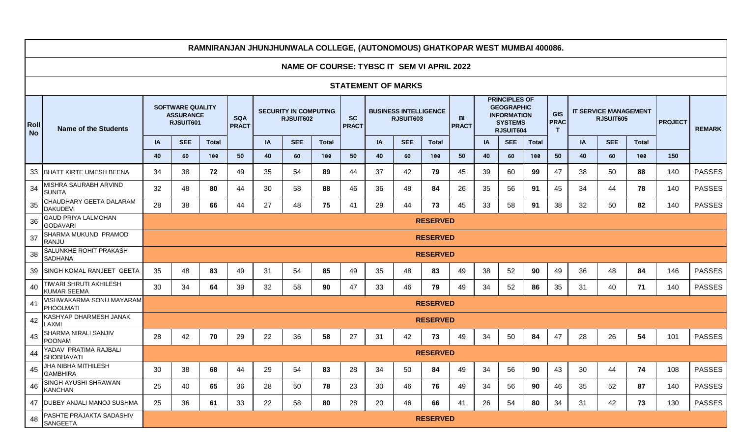|                           |                                               |                                                          |                 |                            |                                           |           |                                            | <u>NAIININAIVAN JHUNJHUNIVALA UULLLUL, (AUTUNUMUUJ) UHATNUFAN IYLJT IINUMDAI 400000.</u> |                                           |           |            |                    |                                                                                                |    |            |                                           |                                           |           |            |                |               |               |
|---------------------------|-----------------------------------------------|----------------------------------------------------------|-----------------|----------------------------|-------------------------------------------|-----------|--------------------------------------------|------------------------------------------------------------------------------------------|-------------------------------------------|-----------|------------|--------------------|------------------------------------------------------------------------------------------------|----|------------|-------------------------------------------|-------------------------------------------|-----------|------------|----------------|---------------|---------------|
|                           |                                               |                                                          |                 |                            |                                           |           | NAME OF COURSE: TYBSC IT SEM VI APRIL 2022 |                                                                                          |                                           |           |            |                    |                                                                                                |    |            |                                           |                                           |           |            |                |               |               |
| <b>STATEMENT OF MARKS</b> |                                               |                                                          |                 |                            |                                           |           |                                            |                                                                                          |                                           |           |            |                    |                                                                                                |    |            |                                           |                                           |           |            |                |               |               |
| Roll<br><b>No</b>         | <b>Name of the Students</b>                   | <b>SOFTWARE QUALITY</b><br><b>ASSURANCE</b><br>RJSUIT601 |                 | <b>SQA</b><br><b>PRACT</b> | <b>SECURITY IN COMPUTING</b><br>RJSUIT602 |           |                                            | <b>SC</b><br><b>PRACT</b>                                                                | <b>BUSINESS INTELLIGENCE</b><br>RJSUIT603 |           |            | BI<br><b>PRACT</b> | <b>PRINCIPLES OF</b><br><b>GEOGRAPHIC</b><br><b>INFORMATION</b><br><b>SYSTEMS</b><br>RJSUIT604 |    |            | <b>GIS</b><br><b>PRAC</b><br>$\mathbf{T}$ | <b>IT SERVICE MANAGEMENT</b><br>RJSUIT605 |           |            | <b>PROJECT</b> | <b>REMARK</b> |               |
|                           |                                               | IA                                                       | <b>SEE</b>      | <b>Total</b>               |                                           | <b>IA</b> | <b>SEE</b>                                 | <b>Total</b>                                                                             |                                           | <b>IA</b> | <b>SEE</b> | <b>Total</b>       |                                                                                                | IA | <b>SEE</b> | <b>Total</b>                              |                                           | <b>IA</b> | <b>SEE</b> | <b>Total</b>   |               |               |
|                           |                                               | 40                                                       | 60              | 100                        | 50                                        | 40        | 60                                         | 100                                                                                      | 50                                        | 40        | 60         | 100                | 50                                                                                             | 40 | 60         | 100                                       | 50                                        | 40        | 60         | 100            | 150           |               |
| 33                        | <b>BHATT KIRTE UMESH BEENA</b>                | 34                                                       | 38              | 72                         | 49                                        | 35        | 54                                         | 89                                                                                       | 44                                        | 37        | 42         | 79                 | 45                                                                                             | 39 | 60         | 99                                        | 47                                        | 38        | 50         | 88             | 140           | <b>PASSES</b> |
| 34                        | <b>MISHRA SAURABH ARVIND</b><br><b>SUNITA</b> | 32                                                       | 48              | 80                         | 44                                        | 30        | 58                                         | 88                                                                                       | 46                                        | 36        | 48         | 84                 | 26                                                                                             | 35 | 56         | 91                                        | 45                                        | 34        | 44         | 78             | 140           | <b>PASSES</b> |
| 35                        | CHAUDHARY GEETA DALARAM<br><b>DAKUDEVI</b>    | 28                                                       | 38              | 66                         | 44                                        | 27        | 48                                         | 75                                                                                       | 41                                        | 29        | 44         | 73                 | 45                                                                                             | 33 | 58         | 91                                        | 38                                        | 32        | 50         | 82             | 140           | <b>PASSES</b> |
| 36                        | <b>GAUD PRIYA LALMOHAN</b><br><b>GODAVARI</b> | <b>RESERVED</b><br><b>RESERVED</b>                       |                 |                            |                                           |           |                                            |                                                                                          |                                           |           |            |                    |                                                                                                |    |            |                                           |                                           |           |            |                |               |               |
| 37                        | SHARMA MUKUND PRAMOD<br>RANJU                 |                                                          |                 |                            |                                           |           |                                            |                                                                                          |                                           |           |            |                    |                                                                                                |    |            |                                           |                                           |           |            |                |               |               |
| 38                        | SALUNKHE ROHIT PRAKASH<br><b>SADHANA</b>      |                                                          | <b>RESERVED</b> |                            |                                           |           |                                            |                                                                                          |                                           |           |            |                    |                                                                                                |    |            |                                           |                                           |           |            |                |               |               |
| 39                        | SINGH KOMAL RANJEET GEETA                     | 35                                                       | 48              | 83                         | 49                                        | 31        | 54                                         | 85                                                                                       | 49                                        | 35        | 48         | 83                 | 49                                                                                             | 38 | 52         | 90                                        | 49                                        | 36        | 48         | 84             | 146           | <b>PASSES</b> |
| 40                        | TIWARI SHRUTI AKHILESH<br><b>KUMAR SEEMA</b>  | 30                                                       | 34              | 64                         | 39                                        | 32        | 58                                         | 90                                                                                       | 47                                        | 33        | 46         | 79                 | 49                                                                                             | 34 | 52         | 86                                        | 35                                        | 31        | 40         | 71             | 140           | <b>PASSES</b> |
| 41                        | VISHWAKARMA SONU MAYARAM<br><b>PHOOLMATI</b>  |                                                          |                 |                            |                                           |           |                                            |                                                                                          |                                           |           |            | <b>RESERVED</b>    |                                                                                                |    |            |                                           |                                           |           |            |                |               |               |
| 42                        | KASHYAP DHARMESH JANAK<br>LAXMI               |                                                          |                 |                            |                                           |           |                                            |                                                                                          |                                           |           |            | <b>RESERVED</b>    |                                                                                                |    |            |                                           |                                           |           |            |                |               |               |
| 43                        | SHARMA NIRALI SANJIV<br><b>POONAM</b>         | 28                                                       | 42              | 70                         | 29                                        | 22        | 36                                         | 58                                                                                       | 27                                        | 31        | 42         | 73                 | 49                                                                                             | 34 | 50         | 84                                        | 47                                        | 28        | 26         | 54             | 101           | <b>PASSES</b> |
| 44                        | YADAV PRATIMA RAJBALI<br><b>SHOBHAVATI</b>    |                                                          |                 |                            |                                           |           |                                            |                                                                                          |                                           |           |            | <b>RESERVED</b>    |                                                                                                |    |            |                                           |                                           |           |            |                |               |               |
| 45                        | JHA NIBHA MITHILESH<br><b>GAMBHIRA</b>        | 30                                                       | 38              | 68                         | 44                                        | 29        | 54                                         | 83                                                                                       | 28                                        | 34        | 50         | 84                 | 49                                                                                             | 34 | 56         | 90                                        | 43                                        | 30        | 44         | 74             | 108           | <b>PASSES</b> |
| 46                        | SINGH AYUSHI SHRAWAN<br><b>KANCHAN</b>        | 25                                                       | 40              | 65                         | 36                                        | 28        | 50                                         | 78                                                                                       | 23                                        | 30        | 46         | 76                 | 49                                                                                             | 34 | 56         | 90                                        | 46                                        | 35        | 52         | 87             | 140           | <b>PASSES</b> |
| 47                        | <b>DUBEY ANJALI MANOJ SUSHMA</b>              | 25                                                       | 36              | 61                         | 33                                        | 22        | 58                                         | 80                                                                                       | 28                                        | 20        | 46         | 66                 | 41                                                                                             | 26 | 54         | 80                                        | 34                                        | 31        | 42         | 73             | 130           | <b>PASSES</b> |
| 48                        | PASHTE PRAJAKTA SADASHIV<br><b>SANGEETA</b>   |                                                          |                 |                            |                                           |           |                                            |                                                                                          |                                           |           |            | <b>RESERVED</b>    |                                                                                                |    |            |                                           |                                           |           |            |                |               |               |

## **RAMNIRANJAN JHUNJHUNWALA COLLEGE, (AUTONOMOUS) GHATKOPAR WEST MUMBAI 400086.**